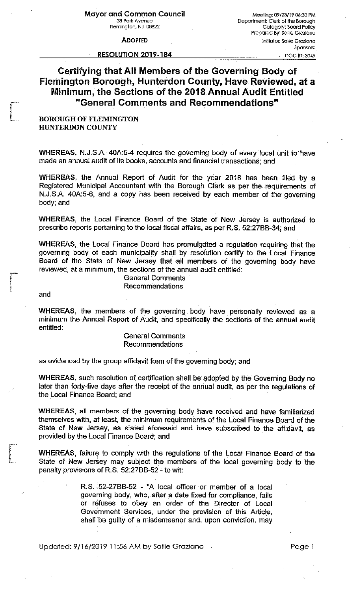**ADOPTED** 

## **RESOLUTION 2019-184**

Mee ling: 09 /23/19 06:30 PM Department: Clerk of the Borough Category: Board Policy Prepared By: Sallie Graziano Initiator. Sallie Graziano Sponsors:

DOC ID: 3049

## Certifying that All Members of the Governing Body of Flemington Borough, Hunterdon County, Have Reviewed, at a Minimum, the Sections of the 2018 Annual Audit Entitled "General Comments and Recommendations"

## BOROUGH OF FLEMINGTON HUNTERDON COUNTY

WHEREAS, N.J.S.A. 40A:5-4 requires the governing body of every local unit to have made an annual audit of its books, accounts and financial transactions; and

WHEREAS, the Annual Report of Audit for the year 2018 has been filed by a Registered Municipal Accountant with the Borough Clerk as per the requirements of N.J.S.A. 40A:5-6, and a copy has been received by each member of the governing body;and

WHEREAS, the Local Finance Board of the State of New Jersey is authorized to prescribe reports pertaining to the local fiscal affairs, as per R.S. 52:27BB~34; and

WHEREAS, the Local Finance Board has promulgated a regulation requiring that the governing body of each municipality shall by resolution certify to the Local· Finance Board of the State of New Jersey that all members of the governing body have reviewed, at a minimum, the sections of the annual audit entitled:

> General Comments Recommendations

and

ire-birgin<br>|-<br>|-

 $\ddot{\phantom{a}}$ 

*re-* f, , कडाइन कर.<br>|<br>|-~,~···

> WHEREAS, the members of the governing body have personally reviewed as a minimum the Annual Report of Audit, and specifically the sections of the annual audit entitled:

> > General Comments Recommendations

as evidenced by the group affidavit form of the governing body; and

**WHEREAS,** such resolution of certification shall be adopted by the Governing Body no later than forty~five days after the receipt of the annual audit, as per the regulations of the Local Finance Board; and

**WHEREAS,** all members of the governing body have received and have familiarized themselves with, at least, the minimum requirements of the Local Finance Board of the State of New Jersey, as stated aforesaid and have subscribed to the affidavit, as provided by the Local Finance Board; and

WHEREAS, failure to comply with the regulations of the Local Finance Board of the State of New Jersey may subject the members of the local governing body to the penalty provisions of R.S. 52:27BB-52 - to wit:

> R.S. 52-27BB-52 - "A local officer or member of a local governing body, who, after a date fixed for compliance, fails or refuses to obey an order- of the. Director of Local Government Services, under the provision of this Article, shall be guilty of a misdemeanor and, upon conviction, may

Updated: 9/16/2019 11 :56 AM by Sallie Graziano Page 1